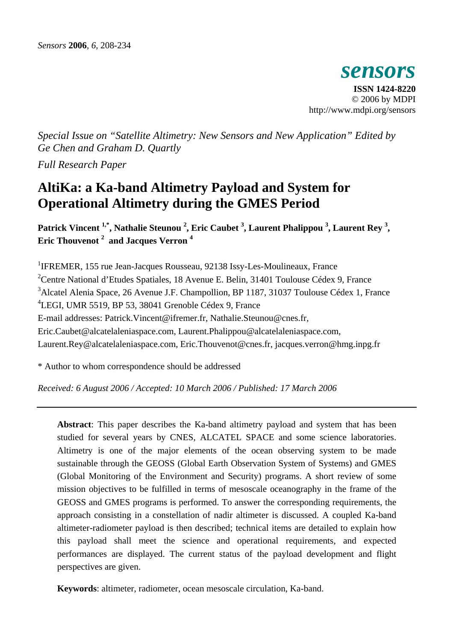*sensors*  **ISSN 1424-8220**  © 2006 by MDPI http://www.mdpi.org/sensors

*Special Issue on "Satellite Altimetry: New Sensors and New Application" Edited by Ge Chen and Graham D. Quartly* 

*Full Research Paper*

# **AltiKa: a Ka-band Altimetry Payload and System for Operational Altimetry during the GMES Period**

Patrick Vincent <sup>1,\*</sup>, Nathalie Steunou <sup>2</sup>, Eric Caubet <sup>3</sup>, Laurent Phalippou <sup>3</sup>, Laurent Rey <sup>3</sup>, **Eric Thouvenot 2 and Jacques Verron <sup>4</sup>** 

<sup>1</sup>IFREMER, 155 rue Jean-Jacques Rousseau, 92138 Issy-Les-Moulineaux, France <sup>2</sup> Centre National d'Etudes Spatiales, 18 Avenue E. Belin, 31401 Toulouse Cédex 9, France <sup>3</sup> Alcatel Alenia Space, 26 Avenue J.F. Champollion, BP 1187, 31037 Toulouse Cédex 1, France 4 LEGI, UMR 5519, BP 53, 38041 Grenoble Cédex 9, France E-mail addresses: Patrick.Vincent@ifremer.fr, Nathalie.Steunou@cnes.fr, Eric.Caubet@alcatelaleniaspace.com, Laurent.Phalippou@alcatelaleniaspace.com, Laurent.Rey@alcatelaleniaspace.com, Eric.Thouvenot@cnes.fr, jacques.verron@hmg.inpg.fr

\* Author to whom correspondence should be addressed

*Received: 6 August 2006 / Accepted: 10 March 2006 / Published: 17 March 2006* 

**Abstract**: This paper describes the Ka-band altimetry payload and system that has been studied for several years by CNES, ALCATEL SPACE and some science laboratories. Altimetry is one of the major elements of the ocean observing system to be made sustainable through the GEOSS (Global Earth Observation System of Systems) and GMES (Global Monitoring of the Environment and Security) programs. A short review of some mission objectives to be fulfilled in terms of mesoscale oceanography in the frame of the GEOSS and GMES programs is performed. To answer the corresponding requirements, the approach consisting in a constellation of nadir altimeter is discussed. A coupled Ka-band altimeter-radiometer payload is then described; technical items are detailed to explain how this payload shall meet the science and operational requirements, and expected performances are displayed. The current status of the payload development and flight perspectives are given.

**Keywords**: altimeter, radiometer, ocean mesoscale circulation, Ka-band.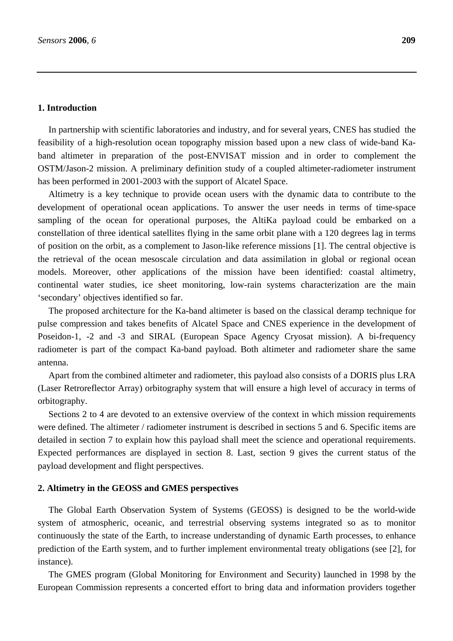# **1. Introduction**

In partnership with scientific laboratories and industry, and for several years, CNES has studied the feasibility of a high-resolution ocean topography mission based upon a new class of wide-band Kaband altimeter in preparation of the post-ENVISAT mission and in order to complement the OSTM/Jason-2 mission. A preliminary definition study of a coupled altimeter-radiometer instrument has been performed in 2001-2003 with the support of Alcatel Space.

Altimetry is a key technique to provide ocean users with the dynamic data to contribute to the development of operational ocean applications. To answer the user needs in terms of time-space sampling of the ocean for operational purposes, the AltiKa payload could be embarked on a constellation of three identical satellites flying in the same orbit plane with a 120 degrees lag in terms of position on the orbit, as a complement to Jason-like reference missions [1]. The central objective is the retrieval of the ocean mesoscale circulation and data assimilation in global or regional ocean models. Moreover, other applications of the mission have been identified: coastal altimetry, continental water studies, ice sheet monitoring, low-rain systems characterization are the main 'secondary' objectives identified so far.

The proposed architecture for the Ka-band altimeter is based on the classical deramp technique for pulse compression and takes benefits of Alcatel Space and CNES experience in the development of Poseidon-1, -2 and -3 and SIRAL (European Space Agency Cryosat mission). A bi-frequency radiometer is part of the compact Ka-band payload. Both altimeter and radiometer share the same antenna.

Apart from the combined altimeter and radiometer, this payload also consists of a DORIS plus LRA (Laser Retroreflector Array) orbitography system that will ensure a high level of accuracy in terms of orbitography.

Sections 2 to 4 are devoted to an extensive overview of the context in which mission requirements were defined. The altimeter / radiometer instrument is described in sections 5 and 6. Specific items are detailed in section 7 to explain how this payload shall meet the science and operational requirements. Expected performances are displayed in section 8. Last, section 9 gives the current status of the payload development and flight perspectives.

## **2. Altimetry in the GEOSS and GMES perspectives**

The Global Earth Observation System of Systems (GEOSS) is designed to be the world-wide system of atmospheric, oceanic, and terrestrial observing systems integrated so as to monitor continuously the state of the Earth, to increase understanding of dynamic Earth processes, to enhance prediction of the Earth system, and to further implement environmental treaty obligations (see [2], for instance).

The GMES program (Global Monitoring for Environment and Security) launched in 1998 by the European Commission represents a concerted effort to bring data and information providers together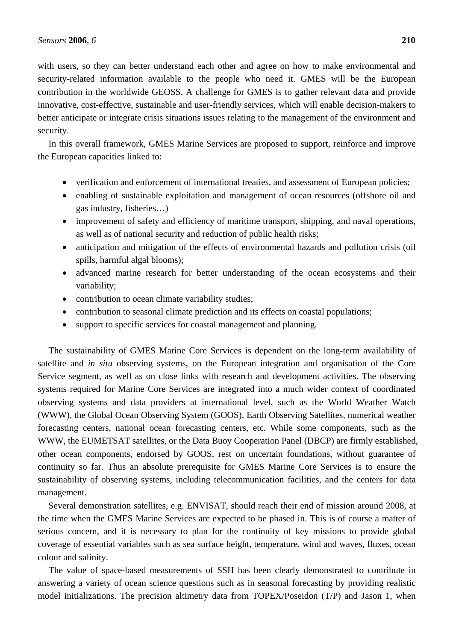with users, so they can better understand each other and agree on how to make environmental and security-related information available to the people who need it. GMES will be the European contribution in the worldwide GEOSS. A challenge for GMES is to gather relevant data and provide innovative, cost-effective, sustainable and user-friendly services, which will enable decision-makers to better anticipate or integrate crisis situations issues relating to the management of the environment and security.

In this overall framework, GMES Marine Services are proposed to support, reinforce and improve the European capacities linked to:

- verification and enforcement of international treaties, and assessment of European policies;
- enabling of sustainable exploitation and management of ocean resources (offshore oil and gas industry, fisheries…)
- improvement of safety and efficiency of maritime transport, shipping, and naval operations, as well as of national security and reduction of public health risks;
- anticipation and mitigation of the effects of environmental hazards and pollution crisis (oil spills, harmful algal blooms);
- advanced marine research for better understanding of the ocean ecosystems and their variability;
- contribution to ocean climate variability studies;
- contribution to seasonal climate prediction and its effects on coastal populations;
- support to specific services for coastal management and planning.

The sustainability of GMES Marine Core Services is dependent on the long-term availability of satellite and *in situ* observing systems, on the European integration and organisation of the Core Service segment, as well as on close links with research and development activities. The observing systems required for Marine Core Services are integrated into a much wider context of coordinated observing systems and data providers at international level, such as the World Weather Watch (WWW), the Global Ocean Observing System (GOOS), Earth Observing Satellites, numerical weather forecasting centers, national ocean forecasting centers, etc. While some components, such as the WWW, the EUMETSAT satellites, or the Data Buoy Cooperation Panel (DBCP) are firmly established, other ocean components, endorsed by GOOS, rest on uncertain foundations, without guarantee of continuity so far. Thus an absolute prerequisite for GMES Marine Core Services is to ensure the sustainability of observing systems, including telecommunication facilities, and the centers for data management.

Several demonstration satellites, e.g. ENVISAT, should reach their end of mission around 2008, at the time when the GMES Marine Services are expected to be phased in. This is of course a matter of serious concern, and it is necessary to plan for the continuity of key missions to provide global coverage of essential variables such as sea surface height, temperature, wind and waves, fluxes, ocean colour and salinity.

The value of space-based measurements of SSH has been clearly demonstrated to contribute in answering a variety of ocean science questions such as in seasonal forecasting by providing realistic model initializations. The precision altimetry data from TOPEX/Poseidon (T/P) and Jason 1, when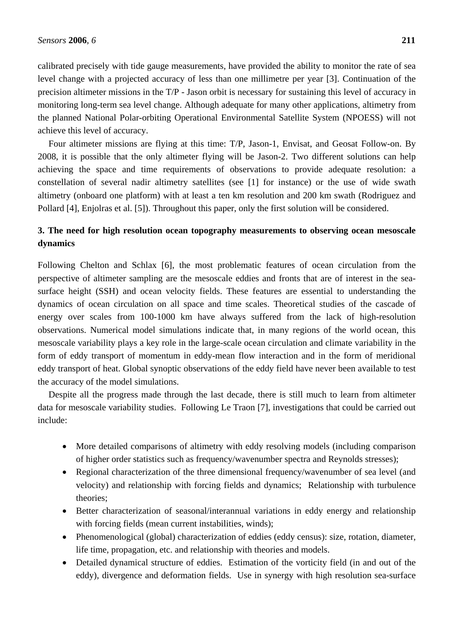calibrated precisely with tide gauge measurements, have provided the ability to monitor the rate of sea level change with a projected accuracy of less than one millimetre per year [3]. Continuation of the precision altimeter missions in the T/P - Jason orbit is necessary for sustaining this level of accuracy in monitoring long-term sea level change. Although adequate for many other applications, altimetry from the planned National Polar-orbiting Operational Environmental Satellite System (NPOESS) will not achieve this level of accuracy.

Four altimeter missions are flying at this time: T/P, Jason-1, Envisat, and Geosat Follow-on. By 2008, it is possible that the only altimeter flying will be Jason-2. Two different solutions can help achieving the space and time requirements of observations to provide adequate resolution: a constellation of several nadir altimetry satellites (see [1] for instance) or the use of wide swath altimetry (onboard one platform) with at least a ten km resolution and 200 km swath (Rodriguez and Pollard [4], Enjolras et al. [5]). Throughout this paper, only the first solution will be considered.

# **3. The need for high resolution ocean topography measurements to observing ocean mesoscale dynamics**

Following Chelton and Schlax [6], the most problematic features of ocean circulation from the perspective of altimeter sampling are the mesoscale eddies and fronts that are of interest in the seasurface height (SSH) and ocean velocity fields. These features are essential to understanding the dynamics of ocean circulation on all space and time scales. Theoretical studies of the cascade of energy over scales from 100-1000 km have always suffered from the lack of high-resolution observations. Numerical model simulations indicate that, in many regions of the world ocean, this mesoscale variability plays a key role in the large-scale ocean circulation and climate variability in the form of eddy transport of momentum in eddy-mean flow interaction and in the form of meridional eddy transport of heat. Global synoptic observations of the eddy field have never been available to test the accuracy of the model simulations.

Despite all the progress made through the last decade, there is still much to learn from altimeter data for mesoscale variability studies. Following Le Traon [7], investigations that could be carried out include:

- More detailed comparisons of altimetry with eddy resolving models (including comparison of higher order statistics such as frequency/wavenumber spectra and Reynolds stresses);
- Regional characterization of the three dimensional frequency/wavenumber of sea level (and velocity) and relationship with forcing fields and dynamics; Relationship with turbulence theories;
- Better characterization of seasonal/interannual variations in eddy energy and relationship with forcing fields (mean current instabilities, winds);
- Phenomenological (global) characterization of eddies (eddy census): size, rotation, diameter, life time, propagation, etc. and relationship with theories and models.
- Detailed dynamical structure of eddies. Estimation of the vorticity field (in and out of the eddy), divergence and deformation fields. Use in synergy with high resolution sea-surface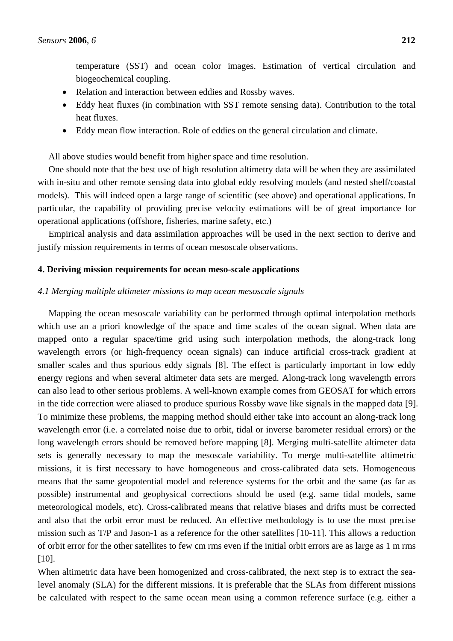temperature (SST) and ocean color images. Estimation of vertical circulation and biogeochemical coupling.

- Relation and interaction between eddies and Rossby waves.
- Eddy heat fluxes (in combination with SST remote sensing data). Contribution to the total heat fluxes.
- Eddy mean flow interaction. Role of eddies on the general circulation and climate.

All above studies would benefit from higher space and time resolution.

One should note that the best use of high resolution altimetry data will be when they are assimilated with in-situ and other remote sensing data into global eddy resolving models (and nested shelf/coastal models). This will indeed open a large range of scientific (see above) and operational applications. In particular, the capability of providing precise velocity estimations will be of great importance for operational applications (offshore, fisheries, marine safety, etc.)

Empirical analysis and data assimilation approaches will be used in the next section to derive and justify mission requirements in terms of ocean mesoscale observations.

#### **4. Deriving mission requirements for ocean meso-scale applications**

# *4.1 Merging multiple altimeter missions to map ocean mesoscale signals*

Mapping the ocean mesoscale variability can be performed through optimal interpolation methods which use an a priori knowledge of the space and time scales of the ocean signal. When data are mapped onto a regular space/time grid using such interpolation methods, the along-track long wavelength errors (or high-frequency ocean signals) can induce artificial cross-track gradient at smaller scales and thus spurious eddy signals [8]. The effect is particularly important in low eddy energy regions and when several altimeter data sets are merged. Along-track long wavelength errors can also lead to other serious problems. A well-known example comes from GEOSAT for which errors in the tide correction were aliased to produce spurious Rossby wave like signals in the mapped data [9]. To minimize these problems, the mapping method should either take into account an along-track long wavelength error (i.e. a correlated noise due to orbit, tidal or inverse barometer residual errors) or the long wavelength errors should be removed before mapping [8]. Merging multi-satellite altimeter data sets is generally necessary to map the mesoscale variability. To merge multi-satellite altimetric missions, it is first necessary to have homogeneous and cross-calibrated data sets. Homogeneous means that the same geopotential model and reference systems for the orbit and the same (as far as possible) instrumental and geophysical corrections should be used (e.g. same tidal models, same meteorological models, etc). Cross-calibrated means that relative biases and drifts must be corrected and also that the orbit error must be reduced. An effective methodology is to use the most precise mission such as T/P and Jason-1 as a reference for the other satellites [10-11]. This allows a reduction of orbit error for the other satellites to few cm rms even if the initial orbit errors are as large as 1 m rms [10].

When altimetric data have been homogenized and cross-calibrated, the next step is to extract the sealevel anomaly (SLA) for the different missions. It is preferable that the SLAs from different missions be calculated with respect to the same ocean mean using a common reference surface (e.g. either a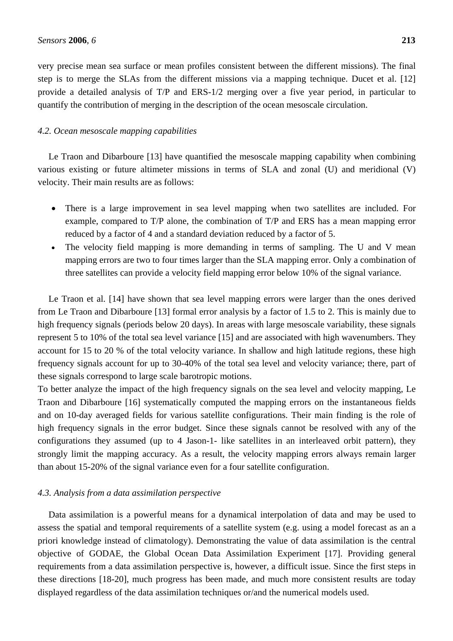very precise mean sea surface or mean profiles consistent between the different missions). The final step is to merge the SLAs from the different missions via a mapping technique. Ducet et al. [12] provide a detailed analysis of T/P and ERS-1/2 merging over a five year period, in particular to quantify the contribution of merging in the description of the ocean mesoscale circulation.

## *4.2. Ocean mesoscale mapping capabilities*

Le Traon and Dibarboure [13] have quantified the mesoscale mapping capability when combining various existing or future altimeter missions in terms of SLA and zonal (U) and meridional (V) velocity. Their main results are as follows:

- There is a large improvement in sea level mapping when two satellites are included. For example, compared to T/P alone, the combination of T/P and ERS has a mean mapping error reduced by a factor of 4 and a standard deviation reduced by a factor of 5.
- The velocity field mapping is more demanding in terms of sampling. The U and V mean mapping errors are two to four times larger than the SLA mapping error. Only a combination of three satellites can provide a velocity field mapping error below 10% of the signal variance.

Le Traon et al. [14] have shown that sea level mapping errors were larger than the ones derived from Le Traon and Dibarboure [13] formal error analysis by a factor of 1.5 to 2. This is mainly due to high frequency signals (periods below 20 days). In areas with large mesoscale variability, these signals represent 5 to 10% of the total sea level variance [15] and are associated with high wavenumbers. They account for 15 to 20 % of the total velocity variance. In shallow and high latitude regions, these high frequency signals account for up to 30-40% of the total sea level and velocity variance; there, part of these signals correspond to large scale barotropic motions.

To better analyze the impact of the high frequency signals on the sea level and velocity mapping, Le Traon and Dibarboure [16] systematically computed the mapping errors on the instantaneous fields and on 10-day averaged fields for various satellite configurations. Their main finding is the role of high frequency signals in the error budget. Since these signals cannot be resolved with any of the configurations they assumed (up to 4 Jason-1- like satellites in an interleaved orbit pattern), they strongly limit the mapping accuracy. As a result, the velocity mapping errors always remain larger than about 15-20% of the signal variance even for a four satellite configuration.

#### *4.3. Analysis from a data assimilation perspective*

Data assimilation is a powerful means for a dynamical interpolation of data and may be used to assess the spatial and temporal requirements of a satellite system (e.g. using a model forecast as an a priori knowledge instead of climatology). Demonstrating the value of data assimilation is the central objective of GODAE, the Global Ocean Data Assimilation Experiment [17]. Providing general requirements from a data assimilation perspective is, however, a difficult issue. Since the first steps in these directions [18-20], much progress has been made, and much more consistent results are today displayed regardless of the data assimilation techniques or/and the numerical models used.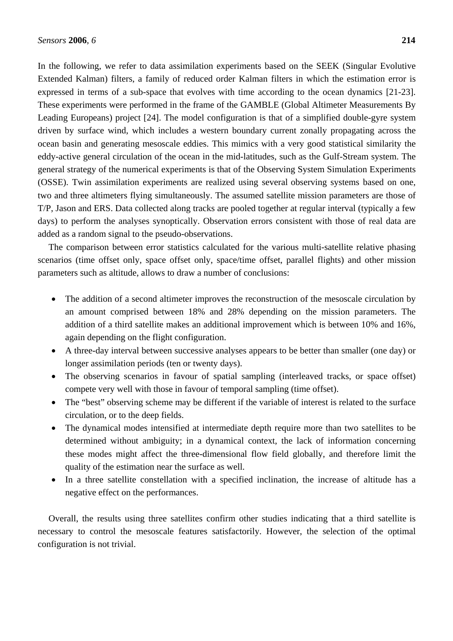In the following, we refer to data assimilation experiments based on the SEEK (Singular Evolutive Extended Kalman) filters, a family of reduced order Kalman filters in which the estimation error is expressed in terms of a sub-space that evolves with time according to the ocean dynamics [21-23]. These experiments were performed in the frame of the GAMBLE (Global Altimeter Measurements By Leading Europeans) project [24]. The model configuration is that of a simplified double-gyre system driven by surface wind, which includes a western boundary current zonally propagating across the ocean basin and generating mesoscale eddies. This mimics with a very good statistical similarity the eddy-active general circulation of the ocean in the mid-latitudes, such as the Gulf-Stream system. The general strategy of the numerical experiments is that of the Observing System Simulation Experiments (OSSE). Twin assimilation experiments are realized using several observing systems based on one, two and three altimeters flying simultaneously. The assumed satellite mission parameters are those of T/P, Jason and ERS. Data collected along tracks are pooled together at regular interval (typically a few days) to perform the analyses synoptically. Observation errors consistent with those of real data are added as a random signal to the pseudo-observations.

The comparison between error statistics calculated for the various multi-satellite relative phasing scenarios (time offset only, space offset only, space/time offset, parallel flights) and other mission parameters such as altitude, allows to draw a number of conclusions:

- The addition of a second altimeter improves the reconstruction of the mesoscale circulation by an amount comprised between 18% and 28% depending on the mission parameters. The addition of a third satellite makes an additional improvement which is between 10% and 16%, again depending on the flight configuration.
- A three-day interval between successive analyses appears to be better than smaller (one day) or longer assimilation periods (ten or twenty days).
- The observing scenarios in favour of spatial sampling (interleaved tracks, or space offset) compete very well with those in favour of temporal sampling (time offset).
- The "best" observing scheme may be different if the variable of interest is related to the surface circulation, or to the deep fields.
- The dynamical modes intensified at intermediate depth require more than two satellites to be determined without ambiguity; in a dynamical context, the lack of information concerning these modes might affect the three-dimensional flow field globally, and therefore limit the quality of the estimation near the surface as well.
- In a three satellite constellation with a specified inclination, the increase of altitude has a negative effect on the performances.

Overall, the results using three satellites confirm other studies indicating that a third satellite is necessary to control the mesoscale features satisfactorily. However, the selection of the optimal configuration is not trivial.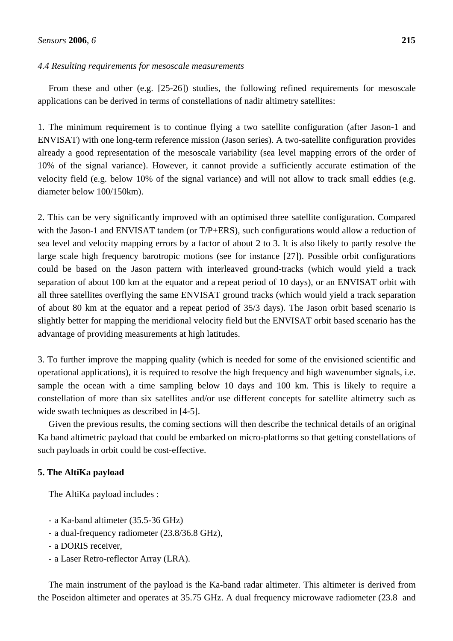## *4.4 Resulting requirements for mesoscale measurements*

From these and other (e.g. [25-26]) studies, the following refined requirements for mesoscale applications can be derived in terms of constellations of nadir altimetry satellites:

1. The minimum requirement is to continue flying a two satellite configuration (after Jason-1 and ENVISAT) with one long-term reference mission (Jason series). A two-satellite configuration provides already a good representation of the mesoscale variability (sea level mapping errors of the order of 10% of the signal variance). However, it cannot provide a sufficiently accurate estimation of the velocity field (e.g. below 10% of the signal variance) and will not allow to track small eddies (e.g. diameter below 100/150km).

2. This can be very significantly improved with an optimised three satellite configuration. Compared with the Jason-1 and ENVISAT tandem (or T/P+ERS), such configurations would allow a reduction of sea level and velocity mapping errors by a factor of about 2 to 3. It is also likely to partly resolve the large scale high frequency barotropic motions (see for instance [27]). Possible orbit configurations could be based on the Jason pattern with interleaved ground-tracks (which would yield a track separation of about 100 km at the equator and a repeat period of 10 days), or an ENVISAT orbit with all three satellites overflying the same ENVISAT ground tracks (which would yield a track separation of about 80 km at the equator and a repeat period of 35/3 days). The Jason orbit based scenario is slightly better for mapping the meridional velocity field but the ENVISAT orbit based scenario has the advantage of providing measurements at high latitudes.

3. To further improve the mapping quality (which is needed for some of the envisioned scientific and operational applications), it is required to resolve the high frequency and high wavenumber signals, i.e. sample the ocean with a time sampling below 10 days and 100 km. This is likely to require a constellation of more than six satellites and/or use different concepts for satellite altimetry such as wide swath techniques as described in  $[4-5]$ .

Given the previous results, the coming sections will then describe the technical details of an original Ka band altimetric payload that could be embarked on micro-platforms so that getting constellations of such payloads in orbit could be cost-effective.

# **5. The AltiKa payload**

The AltiKa payload includes :

- a Ka-band altimeter (35.5-36 GHz)
- a dual-frequency radiometer (23.8/36.8 GHz),
- a DORIS receiver,
- a Laser Retro-reflector Array (LRA).

The main instrument of the payload is the Ka-band radar altimeter. This altimeter is derived from the Poseidon altimeter and operates at 35.75 GHz. A dual frequency microwave radiometer (23.8 and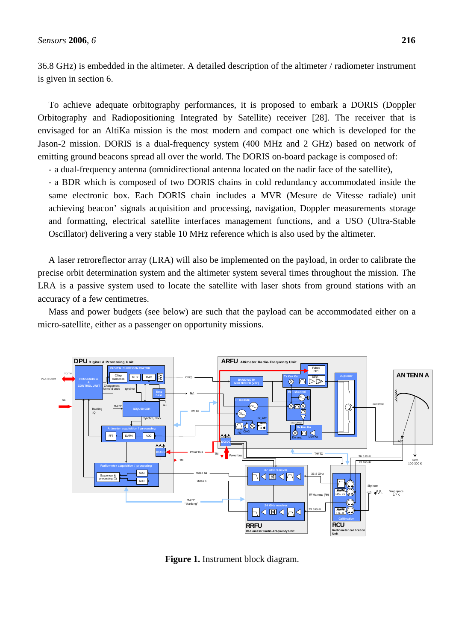36.8 GHz) is embedded in the altimeter. A detailed description of the altimeter / radiometer instrument is given in section 6.

To achieve adequate orbitography performances, it is proposed to embark a DORIS (Doppler Orbitography and Radiopositioning Integrated by Satellite) receiver [28]. The receiver that is envisaged for an AltiKa mission is the most modern and compact one which is developed for the Jason-2 mission. DORIS is a dual-frequency system (400 MHz and 2 GHz) based on network of emitting ground beacons spread all over the world. The DORIS on-board package is composed of:

- a dual-frequency antenna (omnidirectional antenna located on the nadir face of the satellite),

- a BDR which is composed of two DORIS chains in cold redundancy accommodated inside the same electronic box. Each DORIS chain includes a MVR (Mesure de Vitesse radiale) unit achieving beacon' signals acquisition and processing, navigation, Doppler measurements storage and formatting, electrical satellite interfaces management functions, and a USO (Ultra-Stable Oscillator) delivering a very stable 10 MHz reference which is also used by the altimeter.

A laser retroreflector array (LRA) will also be implemented on the payload, in order to calibrate the precise orbit determination system and the altimeter system several times throughout the mission. The LRA is a passive system used to locate the satellite with laser shots from ground stations with an accuracy of a few centimetres.

Mass and power budgets (see below) are such that the payload can be accommodated either on a micro-satellite, either as a passenger on opportunity missions.



**Figure 1.** Instrument block diagram.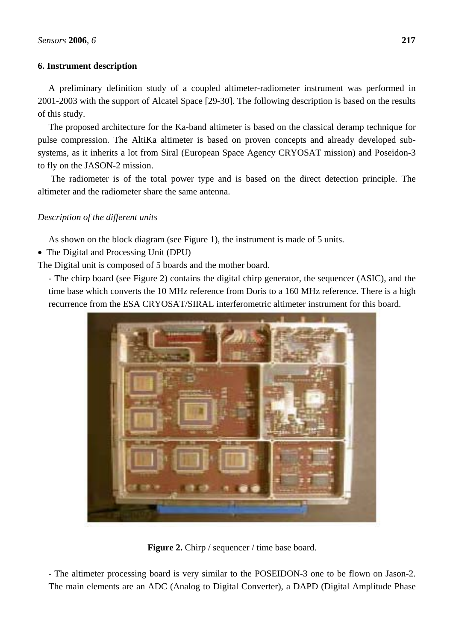# **6. Instrument description**

A preliminary definition study of a coupled altimeter-radiometer instrument was performed in 2001-2003 with the support of Alcatel Space [29-30]. The following description is based on the results of this study.

The proposed architecture for the Ka-band altimeter is based on the classical deramp technique for pulse compression. The AltiKa altimeter is based on proven concepts and already developed subsystems, as it inherits a lot from Siral (European Space Agency CRYOSAT mission) and Poseidon-3 to fly on the JASON-2 mission.

 The radiometer is of the total power type and is based on the direct detection principle. The altimeter and the radiometer share the same antenna.

# *Description of the different units*

As shown on the block diagram (see Figure 1), the instrument is made of 5 units.

• The Digital and Processing Unit (DPU)

The Digital unit is composed of 5 boards and the mother board.

- The chirp board (see Figure 2) contains the digital chirp generator, the sequencer (ASIC), and the time base which converts the 10 MHz reference from Doris to a 160 MHz reference. There is a high recurrence from the ESA CRYOSAT/SIRAL interferometric altimeter instrument for this board.



**Figure 2.** Chirp / sequencer / time base board.

- The altimeter processing board is very similar to the POSEIDON-3 one to be flown on Jason-2. The main elements are an ADC (Analog to Digital Converter), a DAPD (Digital Amplitude Phase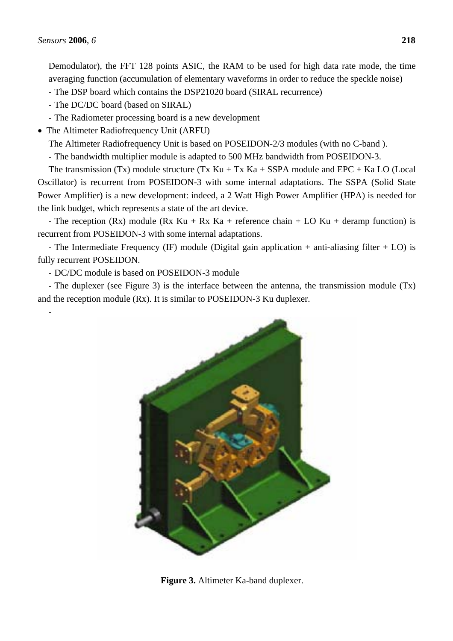-

Demodulator), the FFT 128 points ASIC, the RAM to be used for high data rate mode, the time averaging function (accumulation of elementary waveforms in order to reduce the speckle noise)

- The DSP board which contains the DSP21020 board (SIRAL recurrence)
- The DC/DC board (based on SIRAL)
- The Radiometer processing board is a new development
- The Altimeter Radiofrequency Unit (ARFU)

The Altimeter Radiofrequency Unit is based on POSEIDON-2/3 modules (with no C-band ).

- The bandwidth multiplier module is adapted to 500 MHz bandwidth from POSEIDON-3.

The transmission (Tx) module structure (Tx Ku + Tx Ka + SSPA module and EPC + Ka LO (Local Oscillator) is recurrent from POSEIDON-3 with some internal adaptations. The SSPA (Solid State Power Amplifier) is a new development: indeed, a 2 Watt High Power Amplifier (HPA) is needed for the link budget, which represents a state of the art device.

- The reception (Rx) module (Rx Ku + Rx Ka + reference chain + LO Ku + deramp function) is recurrent from POSEIDON-3 with some internal adaptations.

- The Intermediate Frequency (IF) module (Digital gain application + anti-aliasing filter + LO) is fully recurrent POSEIDON.

- DC/DC module is based on POSEIDON-3 module

- The duplexer (see Figure 3) is the interface between the antenna, the transmission module (Tx) and the reception module (Rx). It is similar to POSEIDON-3 Ku duplexer.



**Figure 3.** Altimeter Ka-band duplexer.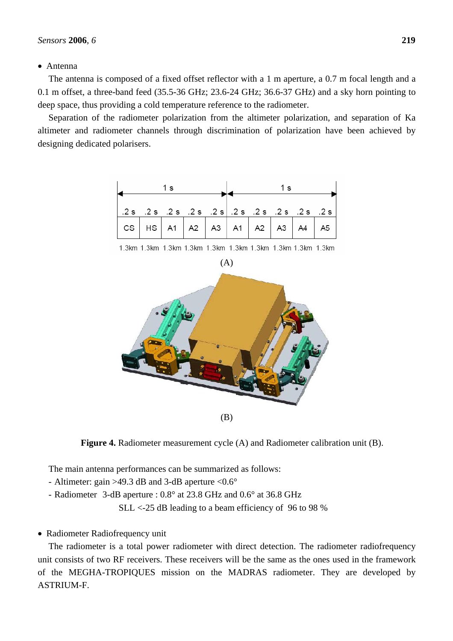# • Antenna

The antenna is composed of a fixed offset reflector with a 1 m aperture, a 0.7 m focal length and a 0.1 m offset, a three-band feed (35.5-36 GHz; 23.6-24 GHz; 36.6-37 GHz) and a sky horn pointing to deep space, thus providing a cold temperature reference to the radiometer.

Separation of the radiometer polarization from the altimeter polarization, and separation of Ka altimeter and radiometer channels through discrimination of polarization have been achieved by designing dedicated polarisers.



1.3km 1.3km 1.3km 1.3km 1.3km 1.3km 1.3km 1.3km 1.3km 1.3km



**Figure 4.** Radiometer measurement cycle (A) and Radiometer calibration unit (B).

The main antenna performances can be summarized as follows:

- Altimeter: gain >49.3 dB and 3-dB aperture <0.6°

- Radiometer 3-dB aperture : 0.8° at 23.8 GHz and 0.6° at 36.8 GHz

SLL <-25 dB leading to a beam efficiency of 96 to 98 %

# • Radiometer Radiofrequency unit

The radiometer is a total power radiometer with direct detection. The radiometer radiofrequency unit consists of two RF receivers. These receivers will be the same as the ones used in the framework of the MEGHA-TROPIQUES mission on the MADRAS radiometer. They are developed by ASTRIUM-F.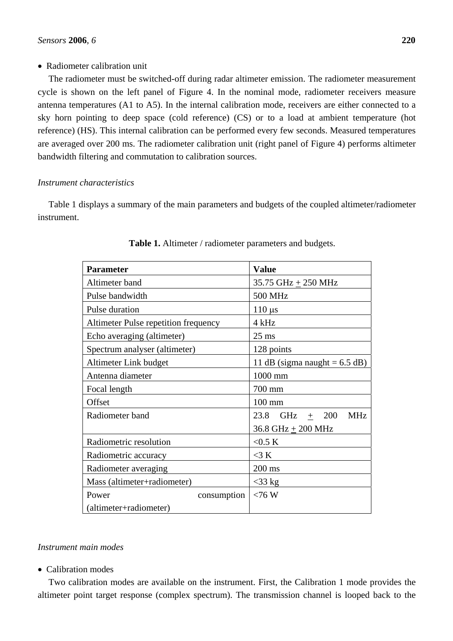# • Radiometer calibration unit

The radiometer must be switched-off during radar altimeter emission. The radiometer measurement cycle is shown on the left panel of Figure 4. In the nominal mode, radiometer receivers measure antenna temperatures (A1 to A5). In the internal calibration mode, receivers are either connected to a sky horn pointing to deep space (cold reference) (CS) or to a load at ambient temperature (hot reference) (HS). This internal calibration can be performed every few seconds. Measured temperatures are averaged over 200 ms. The radiometer calibration unit (right panel of Figure 4) performs altimeter bandwidth filtering and commutation to calibration sources.

# *Instrument characteristics*

Table 1 displays a summary of the main parameters and budgets of the coupled altimeter/radiometer instrument.

| <b>Parameter</b>                     | <b>Value</b>                               |
|--------------------------------------|--------------------------------------------|
| Altimeter band                       | 35.75 GHz $+$ 250 MHz                      |
| Pulse bandwidth                      | 500 MHz                                    |
| Pulse duration                       | $110 \mu s$                                |
| Altimeter Pulse repetition frequency | 4 kHz                                      |
| Echo averaging (altimeter)           | $25$ ms                                    |
| Spectrum analyser (altimeter)        | 128 points                                 |
| Altimeter Link budget                | 11 dB (sigma naught = $6.5$ dB)            |
| Antenna diameter                     | 1000 mm                                    |
| Focal length                         | 700 mm                                     |
| Offset                               | $100 \text{ mm}$                           |
| Radiometer band                      | 23.8<br>GHz<br>200<br><b>MHz</b><br>$^{+}$ |
|                                      | $36.8$ GHz + $200$ MHz                     |
| Radiometric resolution               | $<$ 0.5 K                                  |
| Radiometric accuracy                 | $<$ 3 K                                    |
| Radiometer averaging                 | 200 ms                                     |
| Mass (altimeter+radiometer)          | $<$ 33 kg                                  |
| Power                                | $<76$ W<br>consumption                     |
| (altimeter+radiometer)               |                                            |

# **Table 1.** Altimeter / radiometer parameters and budgets.

# *Instrument main modes*

• Calibration modes

Two calibration modes are available on the instrument. First, the Calibration 1 mode provides the altimeter point target response (complex spectrum). The transmission channel is looped back to the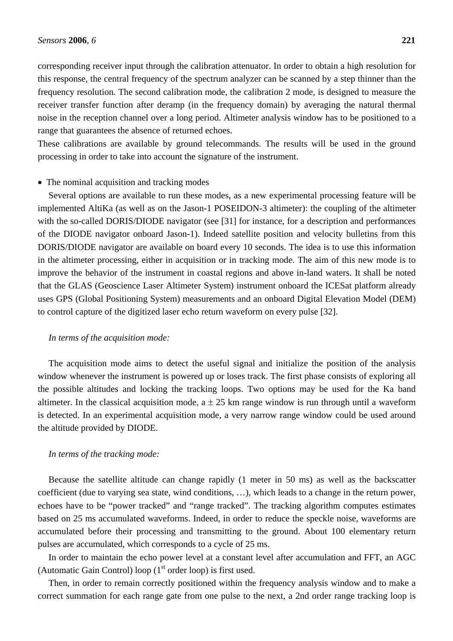corresponding receiver input through the calibration attenuator. In order to obtain a high resolution for this response, the central frequency of the spectrum analyzer can be scanned by a step thinner than the frequency resolution. The second calibration mode, the calibration 2 mode, is designed to measure the receiver transfer function after deramp (in the frequency domain) by averaging the natural thermal noise in the reception channel over a long period. Altimeter analysis window has to be positioned to a range that guarantees the absence of returned echoes.

These calibrations are available by ground telecommands. The results will be used in the ground processing in order to take into account the signature of the instrument.

## • The nominal acquisition and tracking modes

Several options are available to run these modes, as a new experimental processing feature will be implemented AltiKa (as well as on the Jason-1 POSEIDON-3 altimeter): the coupling of the altimeter with the so-called DORIS/DIODE navigator (see [31] for instance, for a description and performances of the DIODE navigator onboard Jason-1). Indeed satellite position and velocity bulletins from this DORIS/DIODE navigator are available on board every 10 seconds. The idea is to use this information in the altimeter processing, either in acquisition or in tracking mode. The aim of this new mode is to improve the behavior of the instrument in coastal regions and above in-land waters. It shall be noted that the GLAS (Geoscience Laser Altimeter System) instrument onboard the ICESat platform already uses GPS (Global Positioning System) measurements and an onboard Digital Elevation Model (DEM) to control capture of the digitized laser echo return waveform on every pulse [32].

## *In terms of the acquisition mode:*

The acquisition mode aims to detect the useful signal and initialize the position of the analysis window whenever the instrument is powered up or loses track. The first phase consists of exploring all the possible altitudes and locking the tracking loops. Two options may be used for the Ka band altimeter. In the classical acquisition mode,  $a \pm 25$  km range window is run through until a waveform is detected. In an experimental acquisition mode, a very narrow range window could be used around the altitude provided by DIODE.

## *In terms of the tracking mode:*

Because the satellite altitude can change rapidly (1 meter in 50 ms) as well as the backscatter coefficient (due to varying sea state, wind conditions, …), which leads to a change in the return power, echoes have to be "power tracked" and "range tracked". The tracking algorithm computes estimates based on 25 ms accumulated waveforms. Indeed, in order to reduce the speckle noise, waveforms are accumulated before their processing and transmitting to the ground. About 100 elementary return pulses are accumulated, which corresponds to a cycle of 25 ms.

In order to maintain the echo power level at a constant level after accumulation and FFT, an AGC (Automatic Gain Control) loop  $(1<sup>st</sup> order loop)$  is first used.

Then, in order to remain correctly positioned within the frequency analysis window and to make a correct summation for each range gate from one pulse to the next, a 2nd order range tracking loop is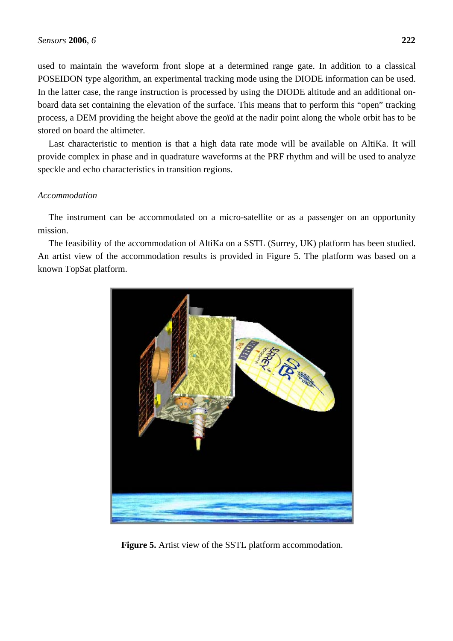used to maintain the waveform front slope at a determined range gate. In addition to a classical POSEIDON type algorithm, an experimental tracking mode using the DIODE information can be used. In the latter case, the range instruction is processed by using the DIODE altitude and an additional onboard data set containing the elevation of the surface. This means that to perform this "open" tracking process, a DEM providing the height above the geoïd at the nadir point along the whole orbit has to be stored on board the altimeter.

Last characteristic to mention is that a high data rate mode will be available on AltiKa. It will provide complex in phase and in quadrature waveforms at the PRF rhythm and will be used to analyze speckle and echo characteristics in transition regions.

# *Accommodation*

The instrument can be accommodated on a micro-satellite or as a passenger on an opportunity mission.

The feasibility of the accommodation of AltiKa on a SSTL (Surrey, UK) platform has been studied. An artist view of the accommodation results is provided in Figure 5. The platform was based on a known TopSat platform.



**Figure 5.** Artist view of the SSTL platform accommodation.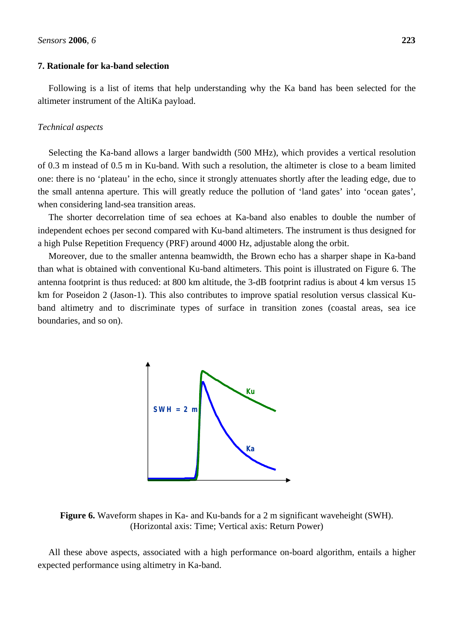#### **7. Rationale for ka-band selection**

Following is a list of items that help understanding why the Ka band has been selected for the altimeter instrument of the AltiKa payload.

#### *Technical aspects*

Selecting the Ka-band allows a larger bandwidth (500 MHz), which provides a vertical resolution of 0.3 m instead of 0.5 m in Ku-band. With such a resolution, the altimeter is close to a beam limited one: there is no 'plateau' in the echo, since it strongly attenuates shortly after the leading edge, due to the small antenna aperture. This will greatly reduce the pollution of 'land gates' into 'ocean gates', when considering land-sea transition areas.

The shorter decorrelation time of sea echoes at Ka-band also enables to double the number of independent echoes per second compared with Ku-band altimeters. The instrument is thus designed for a high Pulse Repetition Frequency (PRF) around 4000 Hz, adjustable along the orbit.

Moreover, due to the smaller antenna beamwidth, the Brown echo has a sharper shape in Ka-band than what is obtained with conventional Ku-band altimeters. This point is illustrated on Figure 6. The antenna footprint is thus reduced: at 800 km altitude, the 3-dB footprint radius is about 4 km versus 15 km for Poseidon 2 (Jason-1). This also contributes to improve spatial resolution versus classical Kuband altimetry and to discriminate types of surface in transition zones (coastal areas, sea ice boundaries, and so on).



**Figure 6.** Waveform shapes in Ka- and Ku-bands for a 2 m significant waveheight (SWH). (Horizontal axis: Time; Vertical axis: Return Power)

All these above aspects, associated with a high performance on-board algorithm, entails a higher expected performance using altimetry in Ka-band.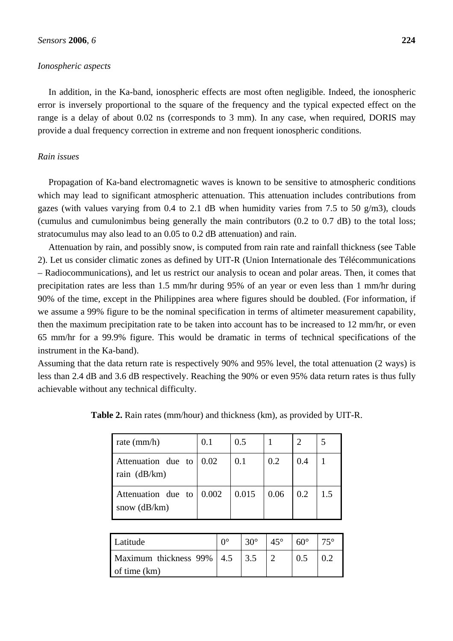## *Ionospheric aspects*

In addition, in the Ka-band, ionospheric effects are most often negligible. Indeed, the ionospheric error is inversely proportional to the square of the frequency and the typical expected effect on the range is a delay of about 0.02 ns (corresponds to 3 mm). In any case, when required, DORIS may provide a dual frequency correction in extreme and non frequent ionospheric conditions.

# *Rain issues*

Propagation of Ka-band electromagnetic waves is known to be sensitive to atmospheric conditions which may lead to significant atmospheric attenuation. This attenuation includes contributions from gazes (with values varying from  $0.4$  to  $2.1$  dB when humidity varies from 7.5 to 50 g/m3), clouds (cumulus and cumulonimbus being generally the main contributors (0.2 to 0.7 dB) to the total loss; stratocumulus may also lead to an 0.05 to 0.2 dB attenuation) and rain.

Attenuation by rain, and possibly snow, is computed from rain rate and rainfall thickness (see Table 2). Let us consider climatic zones as defined by UIT-R (Union Internationale des Télécommunications – Radiocommunications), and let us restrict our analysis to ocean and polar areas. Then, it comes that precipitation rates are less than 1.5 mm/hr during 95% of an year or even less than 1 mm/hr during 90% of the time, except in the Philippines area where figures should be doubled. (For information, if we assume a 99% figure to be the nominal specification in terms of altimeter measurement capability, then the maximum precipitation rate to be taken into account has to be increased to 12 mm/hr, or even 65 mm/hr for a 99.9% figure. This would be dramatic in terms of technical specifications of the instrument in the Ka-band).

Assuming that the data return rate is respectively 90% and 95% level, the total attenuation (2 ways) is less than 2.4 dB and 3.6 dB respectively. Reaching the 90% or even 95% data return rates is thus fully achievable without any technical difficulty.

| rate $\text{(mm/h)}$                                     | 0.1  | 0.5   |      |     |     |
|----------------------------------------------------------|------|-------|------|-----|-----|
| Attenuation due to<br>rain (dB/km)                       | 0.02 | 0.1   | 0.2  | 0.4 |     |
| Attenuation due to $\vert 0.002 \vert$<br>snow $(dB/km)$ |      | 0.015 | 0.06 | 0.2 | 1.5 |

**Table 2.** Rain rates (mm/hour) and thickness (km), as provided by UIT-R.

| Latitude                                    | ∩∘ | $30^\circ$ | $45^\circ$ | $60^\circ$ |  |
|---------------------------------------------|----|------------|------------|------------|--|
| Maximum thickness 99%   4.5<br>of time (km) |    | 3.5        |            | 0.5        |  |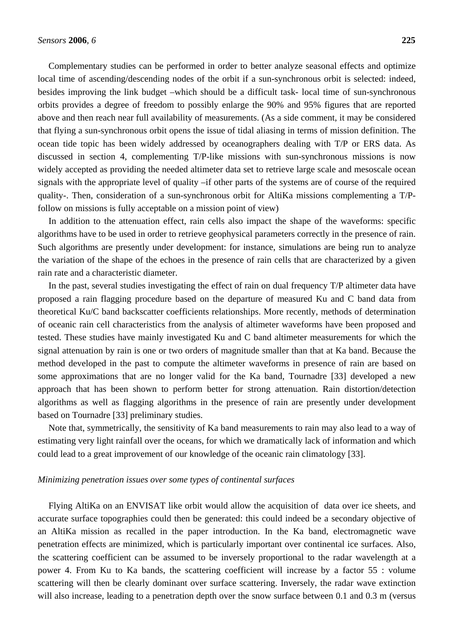Complementary studies can be performed in order to better analyze seasonal effects and optimize local time of ascending/descending nodes of the orbit if a sun-synchronous orbit is selected: indeed, besides improving the link budget –which should be a difficult task- local time of sun-synchronous orbits provides a degree of freedom to possibly enlarge the 90% and 95% figures that are reported above and then reach near full availability of measurements. (As a side comment, it may be considered that flying a sun-synchronous orbit opens the issue of tidal aliasing in terms of mission definition. The ocean tide topic has been widely addressed by oceanographers dealing with T/P or ERS data. As discussed in section 4, complementing T/P-like missions with sun-synchronous missions is now widely accepted as providing the needed altimeter data set to retrieve large scale and mesoscale ocean signals with the appropriate level of quality –if other parts of the systems are of course of the required quality-. Then, consideration of a sun-synchronous orbit for AltiKa missions complementing a T/Pfollow on missions is fully acceptable on a mission point of view)

In addition to the attenuation effect, rain cells also impact the shape of the waveforms: specific algorithms have to be used in order to retrieve geophysical parameters correctly in the presence of rain. Such algorithms are presently under development: for instance, simulations are being run to analyze the variation of the shape of the echoes in the presence of rain cells that are characterized by a given rain rate and a characteristic diameter.

In the past, several studies investigating the effect of rain on dual frequency T/P altimeter data have proposed a rain flagging procedure based on the departure of measured Ku and C band data from theoretical Ku/C band backscatter coefficients relationships. More recently, methods of determination of oceanic rain cell characteristics from the analysis of altimeter waveforms have been proposed and tested. These studies have mainly investigated Ku and C band altimeter measurements for which the signal attenuation by rain is one or two orders of magnitude smaller than that at Ka band. Because the method developed in the past to compute the altimeter waveforms in presence of rain are based on some approximations that are no longer valid for the Ka band, Tournadre [33] developed a new approach that has been shown to perform better for strong attenuation. Rain distortion/detection algorithms as well as flagging algorithms in the presence of rain are presently under development based on Tournadre [33] preliminary studies.

Note that, symmetrically, the sensitivity of Ka band measurements to rain may also lead to a way of estimating very light rainfall over the oceans, for which we dramatically lack of information and which could lead to a great improvement of our knowledge of the oceanic rain climatology [33].

## *Minimizing penetration issues over some types of continental surfaces*

Flying AltiKa on an ENVISAT like orbit would allow the acquisition of data over ice sheets, and accurate surface topographies could then be generated: this could indeed be a secondary objective of an AltiKa mission as recalled in the paper introduction. In the Ka band, electromagnetic wave penetration effects are minimized, which is particularly important over continental ice surfaces. Also, the scattering coefficient can be assumed to be inversely proportional to the radar wavelength at a power 4. From Ku to Ka bands, the scattering coefficient will increase by a factor 55 : volume scattering will then be clearly dominant over surface scattering. Inversely, the radar wave extinction will also increase, leading to a penetration depth over the snow surface between 0.1 and 0.3 m (versus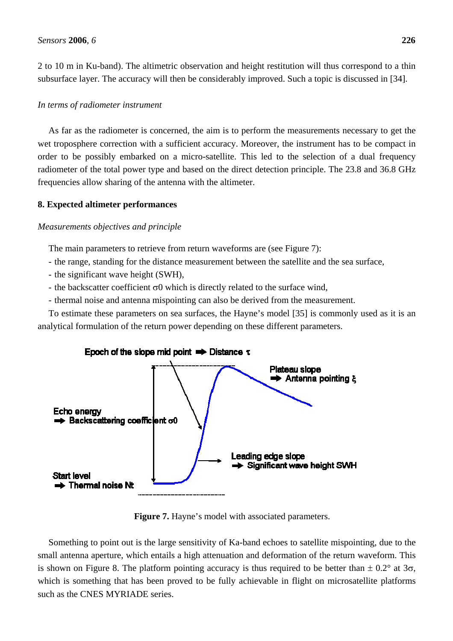2 to 10 m in Ku-band). The altimetric observation and height restitution will thus correspond to a thin subsurface layer. The accuracy will then be considerably improved. Such a topic is discussed in [34].

## *In terms of radiometer instrument*

As far as the radiometer is concerned, the aim is to perform the measurements necessary to get the wet troposphere correction with a sufficient accuracy. Moreover, the instrument has to be compact in order to be possibly embarked on a micro-satellite. This led to the selection of a dual frequency radiometer of the total power type and based on the direct detection principle. The 23.8 and 36.8 GHz frequencies allow sharing of the antenna with the altimeter.

## **8. Expected altimeter performances**

## *Measurements objectives and principle*

The main parameters to retrieve from return waveforms are (see Figure 7):

- the range, standing for the distance measurement between the satellite and the sea surface,
- the significant wave height (SWH),
- the backscatter coefficient  $\sigma$ 0 which is directly related to the surface wind,
- thermal noise and antenna mispointing can also be derived from the measurement.

To estimate these parameters on sea surfaces, the Hayne's model [35] is commonly used as it is an analytical formulation of the return power depending on these different parameters.



**Figure 7.** Hayne's model with associated parameters.

Something to point out is the large sensitivity of Ka-band echoes to satellite mispointing, due to the small antenna aperture, which entails a high attenuation and deformation of the return waveform. This is shown on Figure 8. The platform pointing accuracy is thus required to be better than  $\pm 0.2^{\circ}$  at 3 $\sigma$ , which is something that has been proved to be fully achievable in flight on microsatellite platforms such as the CNES MYRIADE series.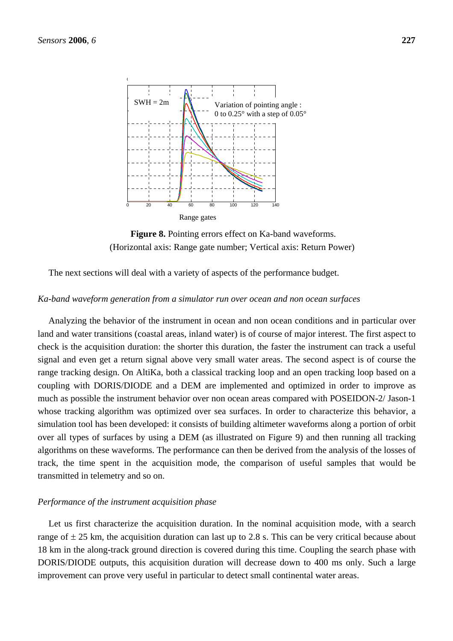

Figure 8. Pointing errors effect on Ka-band waveforms. (Horizontal axis: Range gate number; Vertical axis: Return Power)

The next sections will deal with a variety of aspects of the performance budget.

#### *Ka-band waveform generation from a simulator run over ocean and non ocean surfaces*

Analyzing the behavior of the instrument in ocean and non ocean conditions and in particular over land and water transitions (coastal areas, inland water) is of course of major interest. The first aspect to check is the acquisition duration: the shorter this duration, the faster the instrument can track a useful signal and even get a return signal above very small water areas. The second aspect is of course the range tracking design. On AltiKa, both a classical tracking loop and an open tracking loop based on a coupling with DORIS/DIODE and a DEM are implemented and optimized in order to improve as much as possible the instrument behavior over non ocean areas compared with POSEIDON-2/ Jason-1 whose tracking algorithm was optimized over sea surfaces. In order to characterize this behavior, a simulation tool has been developed: it consists of building altimeter waveforms along a portion of orbit over all types of surfaces by using a DEM (as illustrated on Figure 9) and then running all tracking algorithms on these waveforms. The performance can then be derived from the analysis of the losses of track, the time spent in the acquisition mode, the comparison of useful samples that would be transmitted in telemetry and so on.

#### *Performance of the instrument acquisition phase*

Let us first characterize the acquisition duration. In the nominal acquisition mode, with a search range of  $\pm$  25 km, the acquisition duration can last up to 2.8 s. This can be very critical because about 18 km in the along-track ground direction is covered during this time. Coupling the search phase with DORIS/DIODE outputs, this acquisition duration will decrease down to 400 ms only. Such a large improvement can prove very useful in particular to detect small continental water areas.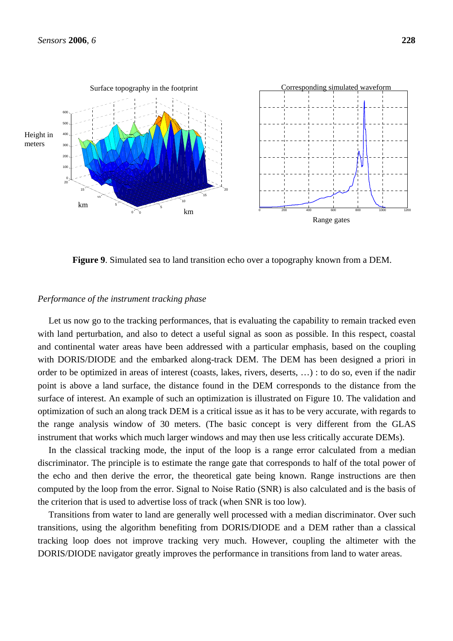

**Figure 9**. Simulated sea to land transition echo over a topography known from a DEM.

#### *Performance of the instrument tracking phase*

Let us now go to the tracking performances, that is evaluating the capability to remain tracked even with land perturbation, and also to detect a useful signal as soon as possible. In this respect, coastal and continental water areas have been addressed with a particular emphasis, based on the coupling with DORIS/DIODE and the embarked along-track DEM. The DEM has been designed a priori in order to be optimized in areas of interest (coasts, lakes, rivers, deserts, …) : to do so, even if the nadir point is above a land surface, the distance found in the DEM corresponds to the distance from the surface of interest. An example of such an optimization is illustrated on Figure 10. The validation and optimization of such an along track DEM is a critical issue as it has to be very accurate, with regards to the range analysis window of 30 meters. (The basic concept is very different from the GLAS instrument that works which much larger windows and may then use less critically accurate DEMs).

In the classical tracking mode, the input of the loop is a range error calculated from a median discriminator. The principle is to estimate the range gate that corresponds to half of the total power of the echo and then derive the error, the theoretical gate being known. Range instructions are then computed by the loop from the error. Signal to Noise Ratio (SNR) is also calculated and is the basis of the criterion that is used to advertise loss of track (when SNR is too low).

Transitions from water to land are generally well processed with a median discriminator. Over such transitions, using the algorithm benefiting from DORIS/DIODE and a DEM rather than a classical tracking loop does not improve tracking very much. However, coupling the altimeter with the DORIS/DIODE navigator greatly improves the performance in transitions from land to water areas.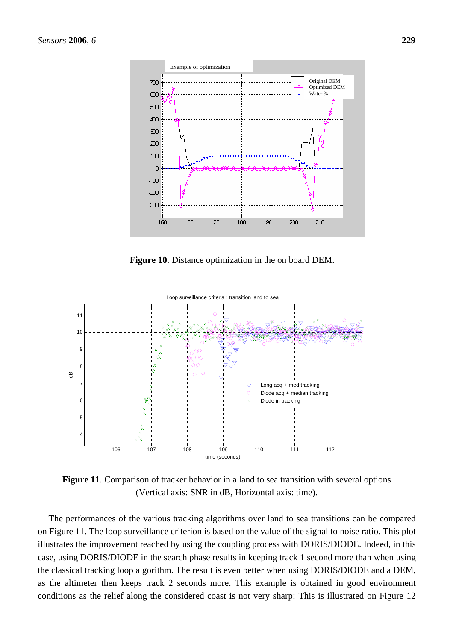

**Figure 10**. Distance optimization in the on board DEM.



**Figure 11**. Comparison of tracker behavior in a land to sea transition with several options (Vertical axis: SNR in dB, Horizontal axis: time).

The performances of the various tracking algorithms over land to sea transitions can be compared on Figure 11. The loop surveillance criterion is based on the value of the signal to noise ratio. This plot illustrates the improvement reached by using the coupling process with DORIS/DIODE. Indeed, in this case, using DORIS/DIODE in the search phase results in keeping track 1 second more than when using the classical tracking loop algorithm. The result is even better when using DORIS/DIODE and a DEM, as the altimeter then keeps track 2 seconds more. This example is obtained in good environment conditions as the relief along the considered coast is not very sharp: This is illustrated on Figure 12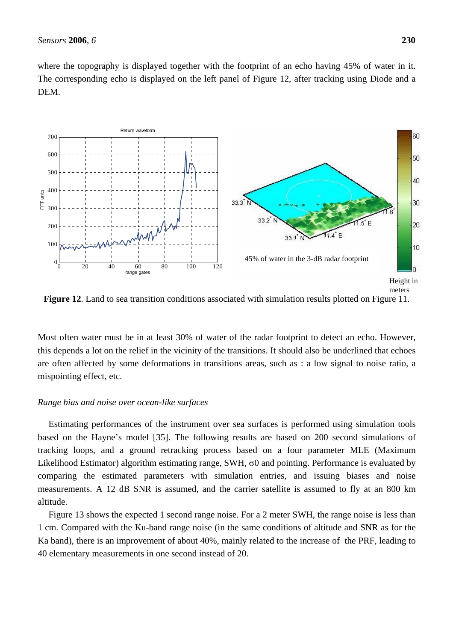where the topography is displayed together with the footprint of an echo having 45% of water in it. The corresponding echo is displayed on the left panel of Figure 12, after tracking using Diode and a DEM.



**Figure 12.** Land to sea transition conditions associated with simulation results plotted on Figure 11.

Most often water must be in at least 30% of water of the radar footprint to detect an echo. However, this depends a lot on the relief in the vicinity of the transitions. It should also be underlined that echoes are often affected by some deformations in transitions areas, such as : a low signal to noise ratio, a mispointing effect, etc.

#### *Range bias and noise over ocean-like surfaces*

Estimating performances of the instrument over sea surfaces is performed using simulation tools based on the Hayne's model [35]. The following results are based on 200 second simulations of tracking loops, and a ground retracking process based on a four parameter MLE (Maximum Likelihood Estimator) algorithm estimating range, SWH,  $\sigma$ 0 and pointing. Performance is evaluated by comparing the estimated parameters with simulation entries, and issuing biases and noise measurements. A 12 dB SNR is assumed, and the carrier satellite is assumed to fly at an 800 km altitude.

Figure 13 shows the expected 1 second range noise. For a 2 meter SWH, the range noise is less than 1 cm. Compared with the Ku-band range noise (in the same conditions of altitude and SNR as for the Ka band), there is an improvement of about 40%, mainly related to the increase of the PRF, leading to 40 elementary measurements in one second instead of 20.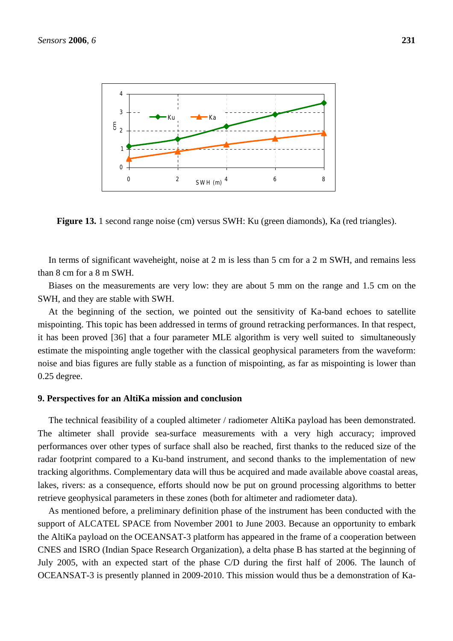

Figure 13. 1 second range noise (cm) versus SWH: Ku (green diamonds), Ka (red triangles).

In terms of significant waveheight, noise at 2 m is less than 5 cm for a 2 m SWH, and remains less than 8 cm for a 8 m SWH.

Biases on the measurements are very low: they are about 5 mm on the range and 1.5 cm on the SWH, and they are stable with SWH.

At the beginning of the section, we pointed out the sensitivity of Ka-band echoes to satellite mispointing. This topic has been addressed in terms of ground retracking performances. In that respect, it has been proved [36] that a four parameter MLE algorithm is very well suited to simultaneously estimate the mispointing angle together with the classical geophysical parameters from the waveform: noise and bias figures are fully stable as a function of mispointing, as far as mispointing is lower than 0.25 degree.

#### **9. Perspectives for an AltiKa mission and conclusion**

The technical feasibility of a coupled altimeter / radiometer AltiKa payload has been demonstrated. The altimeter shall provide sea-surface measurements with a very high accuracy; improved performances over other types of surface shall also be reached, first thanks to the reduced size of the radar footprint compared to a Ku-band instrument, and second thanks to the implementation of new tracking algorithms. Complementary data will thus be acquired and made available above coastal areas, lakes, rivers: as a consequence, efforts should now be put on ground processing algorithms to better retrieve geophysical parameters in these zones (both for altimeter and radiometer data).

As mentioned before, a preliminary definition phase of the instrument has been conducted with the support of ALCATEL SPACE from November 2001 to June 2003. Because an opportunity to embark the AltiKa payload on the OCEANSAT-3 platform has appeared in the frame of a cooperation between CNES and ISRO (Indian Space Research Organization), a delta phase B has started at the beginning of July 2005, with an expected start of the phase C/D during the first half of 2006. The launch of OCEANSAT-3 is presently planned in 2009-2010. This mission would thus be a demonstration of Ka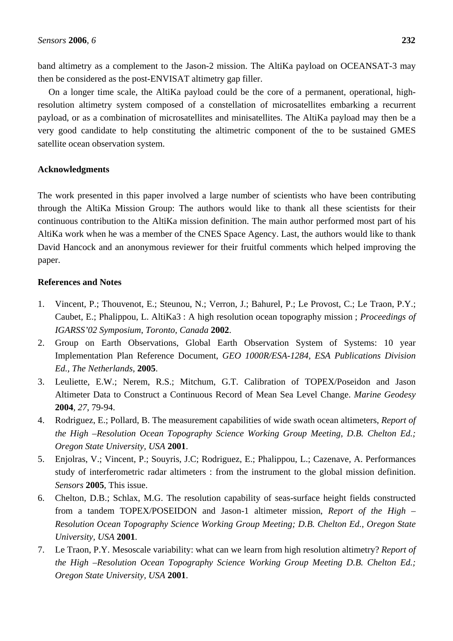band altimetry as a complement to the Jason-2 mission. The AltiKa payload on OCEANSAT-3 may then be considered as the post-ENVISAT altimetry gap filler.

On a longer time scale, the AltiKa payload could be the core of a permanent, operational, highresolution altimetry system composed of a constellation of microsatellites embarking a recurrent payload, or as a combination of microsatellites and minisatellites. The AltiKa payload may then be a very good candidate to help constituting the altimetric component of the to be sustained GMES satellite ocean observation system.

# **Acknowledgments**

The work presented in this paper involved a large number of scientists who have been contributing through the AltiKa Mission Group: The authors would like to thank all these scientists for their continuous contribution to the AltiKa mission definition. The main author performed most part of his AltiKa work when he was a member of the CNES Space Agency. Last, the authors would like to thank David Hancock and an anonymous reviewer for their fruitful comments which helped improving the paper.

# **References and Notes**

- 1. Vincent, P.; Thouvenot, E.; Steunou, N.; Verron, J.; Bahurel, P.; Le Provost, C.; Le Traon, P.Y.; Caubet, E.; Phalippou, L. AltiKa3 : A high resolution ocean topography mission ; *Proceedings of IGARSS'02 Symposium*, *Toronto, Canada* **2002**.
- 2. Group on Earth Observations, Global Earth Observation System of Systems: 10 year Implementation Plan Reference Document, *GEO 1000R/ESA-1284, ESA Publications Division Ed., The Netherlands,* **2005**.
- 3. Leuliette, E.W.; Nerem, R.S.; Mitchum, G.T. Calibration of TOPEX/Poseidon and Jason Altimeter Data to Construct a Continuous Record of Mean Sea Level Change. *Marine Geodesy* **2004**, *27*, 79-94.
- 4. Rodriguez, E.; Pollard, B. The measurement capabilities of wide swath ocean altimeters, *Report of the High –Resolution Ocean Topography Science Working Group Meeting, D.B. Chelton Ed.; Oregon State University, USA* **2001**.
- 5. Enjolras, V.; Vincent, P.; Souyris, J.C; Rodriguez, E.; Phalippou, L.; Cazenave, A. Performances study of interferometric radar altimeters : from the instrument to the global mission definition. *Sensors* **2005**, This issue.
- 6. Chelton, D.B.; Schlax, M.G. The resolution capability of seas-surface height fields constructed from a tandem TOPEX/POSEIDON and Jason-1 altimeter mission, *Report of the High – Resolution Ocean Topography Science Working Group Meeting; D.B. Chelton Ed., Oregon State University, USA* **2001**.
- 7. Le Traon, P.Y. Mesoscale variability: what can we learn from high resolution altimetry? *Report of the High –Resolution Ocean Topography Science Working Group Meeting D.B. Chelton Ed.; Oregon State University, USA* **2001**.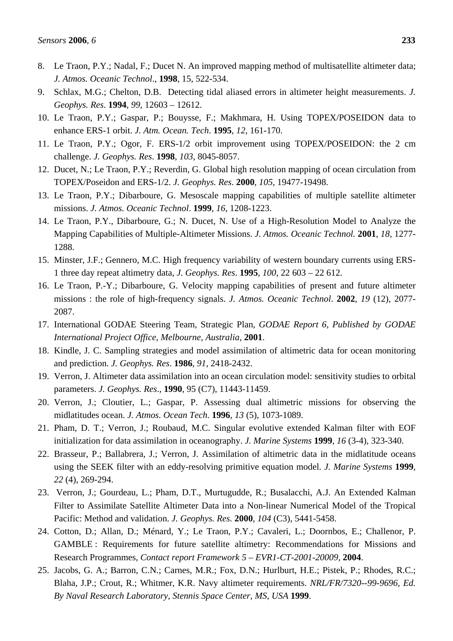- 8. Le Traon, P.Y.; Nadal, F.; Ducet N. An improved mapping method of multisatellite altimeter data; *J. Atmos. Oceanic Technol*., **1998**, 15, 522-534.
- 9. Schlax, M.G.; Chelton, D.B. Detecting tidal aliased errors in altimeter height measurements. *J. Geophys. Res*. **1994**, *99*, 12603 – 12612.
- 10. Le Traon, P.Y.; Gaspar, P.; Bouysse, F.; Makhmara, H. Using TOPEX/POSEIDON data to enhance ERS-1 orbit. *J. Atm. Ocean. Tech*. **1995**, *12*, 161-170.
- 11. Le Traon, P.Y.; Ogor, F. ERS-1/2 orbit improvement using TOPEX/POSEIDON: the 2 cm challenge. *J. Geophys. Res*. **1998**, *103*, 8045-8057.
- 12. Ducet, N.; Le Traon, P.Y.; Reverdin, G. Global high resolution mapping of ocean circulation from TOPEX/Poseidon and ERS-1/2. *J. Geophys. Res*. **2000**, *105*, 19477-19498.
- 13. Le Traon, P.Y.; Dibarboure, G. Mesoscale mapping capabilities of multiple satellite altimeter missions. *J. Atmos. Oceanic Technol*. **1999**, *16*, 1208-1223.
- 14. Le Traon, P.Y., Dibarboure, G.; N. Ducet, N. Use of a High-Resolution Model to Analyze the Mapping Capabilities of Multiple-Altimeter Missions. *J. Atmos. Oceanic Technol.* **2001**, *18*, 1277- 1288.
- 15. Minster, J.F.; Gennero, M.C. High frequency variability of western boundary currents using ERS-1 three day repeat altimetry data, *J. Geophys. Res*. **1995**, *100*, 22 603 – 22 612.
- 16. Le Traon, P.-Y.; Dibarboure, G. Velocity mapping capabilities of present and future altimeter missions : the role of high-frequency signals. *J. Atmos. Oceanic Technol*. **2002**, *19* (12), 2077- 2087.
- 17. International GODAE Steering Team, Strategic Plan, *GODAE Report 6, Published by GODAE International Project Office, Melbourne, Australia,* **2001**.
- 18. Kindle, J. C. Sampling strategies and model assimilation of altimetric data for ocean monitoring and prediction. *J. Geophys. Res*. **1986**, *91*, 2418-2432.
- 19. Verron, J. Altimeter data assimilation into an ocean circulation model: sensitivity studies to orbital parameters. *J. Geophys. Res*., **1990**, 95 (C7), 11443-11459.
- 20. Verron, J.; Cloutier, L.; Gaspar, P. Assessing dual altimetric missions for observing the midlatitudes ocean. *J. Atmos. Ocean Tech*. **1996**, *13* (5), 1073-1089.
- 21. Pham, D. T.; Verron, J.; Roubaud, M.C. Singular evolutive extended Kalman filter with EOF initialization for data assimilation in oceanography. *J. Marine Systems* **1999**, *16* (3-4), 323-340.
- 22. Brasseur, P.; Ballabrera, J.; Verron, J. Assimilation of altimetric data in the midlatitude oceans using the SEEK filter with an eddy-resolving primitive equation model. *J. Marine Systems* **1999**, *22* (4), 269-294.
- 23. Verron, J.; Gourdeau, L.; Pham, D.T., Murtugudde, R.; Busalacchi, A.J. An Extended Kalman Filter to Assimilate Satellite Altimeter Data into a Non-linear Numerical Model of the Tropical Pacific: Method and validation. *J. Geophys. Res.* **2000**, *104* (C3), 5441-5458.
- 24. Cotton, D.; Allan, D.; Ménard, Y.; Le Traon, P.Y.; Cavaleri, L.; Doornbos, E.; Challenor, P. GAMBLE : Requirements for future satellite altimetry: Recommendations for Missions and Research Programmes, *Contact report Framework 5 – EVR1-CT-2001-20009,* **2004**.
- 25. Jacobs, G. A.; Barron, C.N.; Carnes, M.R.; Fox, D.N.; Hurlburt, H.E.; Pistek, P.; Rhodes, R.C.; Blaha, J.P.; Crout, R.; Whitmer, K.R. Navy altimeter requirements. *NRL/FR/7320--99-9696, Ed. By Naval Research Laboratory, Stennis Space Center, MS, USA* **1999**.